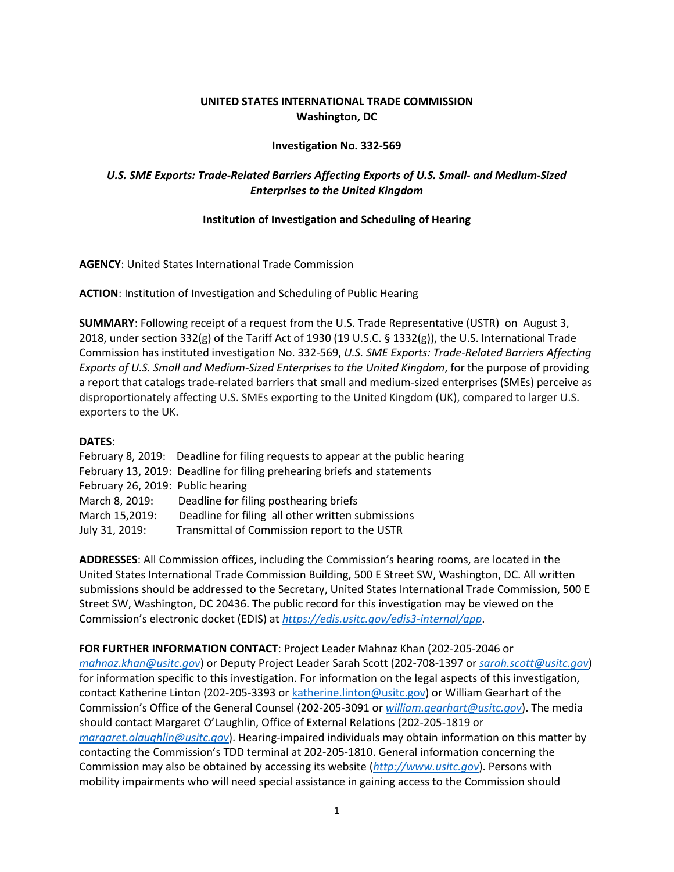## **UNITED STATES INTERNATIONAL TRADE COMMISSION Washington, DC**

## **Investigation No. 332-569**

# *U.S. SME Exports: Trade-Related Barriers Affecting Exports of U.S. Small- and Medium-Sized Enterprises to the United Kingdom*

### **Institution of Investigation and Scheduling of Hearing**

**AGENCY**: United States International Trade Commission

**ACTION**: Institution of Investigation and Scheduling of Public Hearing

**SUMMARY**: Following receipt of a request from the U.S. Trade Representative (USTR) on August 3, 2018, under section 332(g) of the Tariff Act of 1930 (19 U.S.C. § 1332(g)), the U.S. International Trade Commission has instituted investigation No. 332-569, *U.S. SME Exports: Trade-Related Barriers Affecting Exports of U.S. Small and Medium-Sized Enterprises to the United Kingdom*, for the purpose of providing a report that catalogs trade-related barriers that small and medium-sized enterprises (SMEs) perceive as disproportionately affecting U.S. SMEs exporting to the United Kingdom (UK), compared to larger U.S. exporters to the UK.

#### **DATES**:

| February 8, 2019: Deadline for filing requests to appear at the public hearing |
|--------------------------------------------------------------------------------|
| February 13, 2019: Deadline for filing prehearing briefs and statements        |
| February 26, 2019: Public hearing                                              |
| Deadline for filing posthearing briefs                                         |
| Deadline for filing all other written submissions                              |
| Transmittal of Commission report to the USTR                                   |
|                                                                                |

**ADDRESSES**: All Commission offices, including the Commission's hearing rooms, are located in the United States International Trade Commission Building, 500 E Street SW, Washington, DC. All written submissions should be addressed to the Secretary, United States International Trade Commission, 500 E Street SW, Washington, DC 20436. The public record for this investigation may be viewed on the Commission's electronic docket (EDIS) at *[https://edis.usitc.gov/edis3-internal/app](https://edis.usitc.gov/edis3internal/app)*.

**FOR FURTHER INFORMATION CONTACT**: Project Leader Mahnaz Khan (202-205-2046 or *[mahnaz.khan@usitc.gov](mailto:mahnaz.khan@usitc.gov)*) or Deputy Project Leader Sarah Scott (202-708-1397 or *[sarah.scott@usitc.gov](mailto:sarah.scott@usitc.gov)*) for information specific to this investigation. For information on the legal aspects of this investigation, contact Katherine Linton (202-205-3393 or [katherine.linton@usitc.gov\)](mailto:katherine.linton@usitc.gov) or William Gearhart of the Commission's Office of the General Counsel (202-205-3091 or *[william.gearhart@usitc.gov](mailto:william.gearhart@usitc.gov)*). The media should contact Margaret O'Laughlin, Office of External Relations (202-205-1819 or *[margaret.olaughlin@usitc.gov](mailto:margaret.olaughlin@usitc.gov)*). Hearing-impaired individuals may obtain information on this matter by contacting the Commission's TDD terminal at 202-205-1810. General information concerning the Commission may also be obtained by accessing its website (*[http://www.usitc.gov](http://www.usitc.gov/)*). Persons with mobility impairments who will need special assistance in gaining access to the Commission should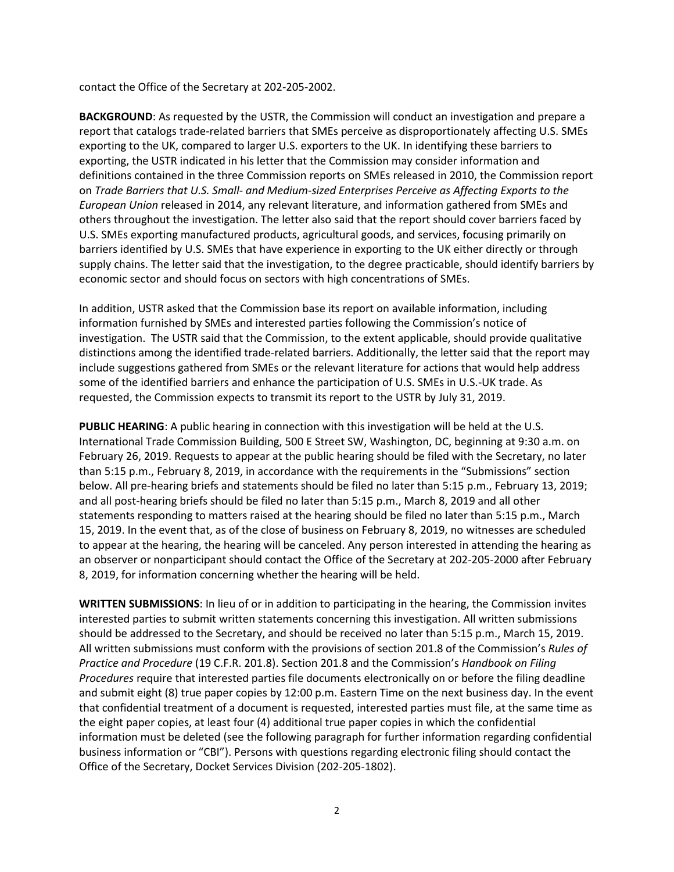contact the Office of the Secretary at 202-205-2002.

**BACKGROUND**: As requested by the USTR, the Commission will conduct an investigation and prepare a report that catalogs trade-related barriers that SMEs perceive as disproportionately affecting U.S. SMEs exporting to the UK, compared to larger U.S. exporters to the UK. In identifying these barriers to exporting, the USTR indicated in his letter that the Commission may consider information and definitions contained in the three Commission reports on SMEs released in 2010, the Commission report on *Trade Barriers that U.S. Small- and Medium-sized Enterprises Perceive as Affecting Exports to the European Union* released in 2014, any relevant literature, and information gathered from SMEs and others throughout the investigation. The letter also said that the report should cover barriers faced by U.S. SMEs exporting manufactured products, agricultural goods, and services, focusing primarily on barriers identified by U.S. SMEs that have experience in exporting to the UK either directly or through supply chains. The letter said that the investigation, to the degree practicable, should identify barriers by economic sector and should focus on sectors with high concentrations of SMEs.

In addition, USTR asked that the Commission base its report on available information, including information furnished by SMEs and interested parties following the Commission's notice of investigation. The USTR said that the Commission, to the extent applicable, should provide qualitative distinctions among the identified trade-related barriers. Additionally, the letter said that the report may include suggestions gathered from SMEs or the relevant literature for actions that would help address some of the identified barriers and enhance the participation of U.S. SMEs in U.S.-UK trade. As requested, the Commission expects to transmit its report to the USTR by July 31, 2019.

**PUBLIC HEARING**: A public hearing in connection with this investigation will be held at the U.S. International Trade Commission Building, 500 E Street SW, Washington, DC, beginning at 9:30 a.m. on February 26, 2019. Requests to appear at the public hearing should be filed with the Secretary, no later than 5:15 p.m., February 8, 2019, in accordance with the requirements in the "Submissions" section below. All pre-hearing briefs and statements should be filed no later than 5:15 p.m., February 13, 2019; and all post-hearing briefs should be filed no later than 5:15 p.m., March 8, 2019 and all other statements responding to matters raised at the hearing should be filed no later than 5:15 p.m., March 15, 2019. In the event that, as of the close of business on February 8, 2019, no witnesses are scheduled to appear at the hearing, the hearing will be canceled. Any person interested in attending the hearing as an observer or nonparticipant should contact the Office of the Secretary at 202-205-2000 after February 8, 2019, for information concerning whether the hearing will be held.

**WRITTEN SUBMISSIONS**: In lieu of or in addition to participating in the hearing, the Commission invites interested parties to submit written statements concerning this investigation. All written submissions should be addressed to the Secretary, and should be received no later than 5:15 p.m., March 15, 2019. All written submissions must conform with the provisions of section 201.8 of the Commission's *Rules of Practice and Procedure* (19 C.F.R. 201.8). Section 201.8 and the Commission's *Handbook on Filing Procedures* require that interested parties file documents electronically on or before the filing deadline and submit eight (8) true paper copies by 12:00 p.m. Eastern Time on the next business day. In the event that confidential treatment of a document is requested, interested parties must file, at the same time as the eight paper copies, at least four (4) additional true paper copies in which the confidential information must be deleted (see the following paragraph for further information regarding confidential business information or "CBI"). Persons with questions regarding electronic filing should contact the Office of the Secretary, Docket Services Division (202-205-1802).